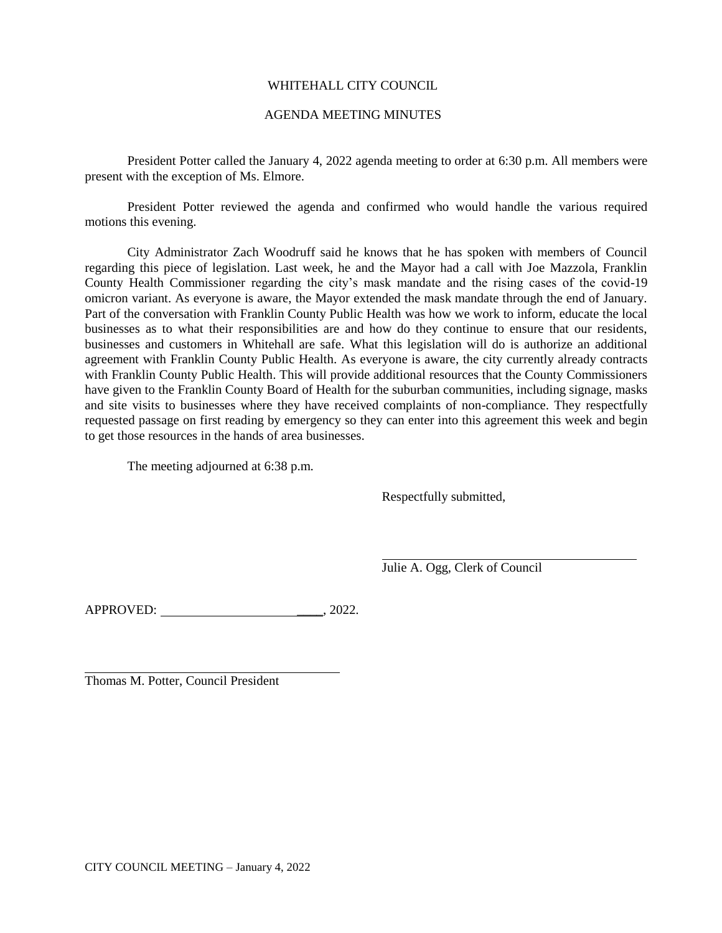# WHITEHALL CITY COUNCIL

### AGENDA MEETING MINUTES

President Potter called the January 4, 2022 agenda meeting to order at 6:30 p.m. All members were present with the exception of Ms. Elmore.

President Potter reviewed the agenda and confirmed who would handle the various required motions this evening.

City Administrator Zach Woodruff said he knows that he has spoken with members of Council regarding this piece of legislation. Last week, he and the Mayor had a call with Joe Mazzola, Franklin County Health Commissioner regarding the city's mask mandate and the rising cases of the covid-19 omicron variant. As everyone is aware, the Mayor extended the mask mandate through the end of January. Part of the conversation with Franklin County Public Health was how we work to inform, educate the local businesses as to what their responsibilities are and how do they continue to ensure that our residents, businesses and customers in Whitehall are safe. What this legislation will do is authorize an additional agreement with Franklin County Public Health. As everyone is aware, the city currently already contracts with Franklin County Public Health. This will provide additional resources that the County Commissioners have given to the Franklin County Board of Health for the suburban communities, including signage, masks and site visits to businesses where they have received complaints of non-compliance. They respectfully requested passage on first reading by emergency so they can enter into this agreement this week and begin to get those resources in the hands of area businesses.

The meeting adjourned at 6:38 p.m.

Respectfully submitted,

Julie A. Ogg, Clerk of Council

APPROVED: 2022.

Thomas M. Potter, Council President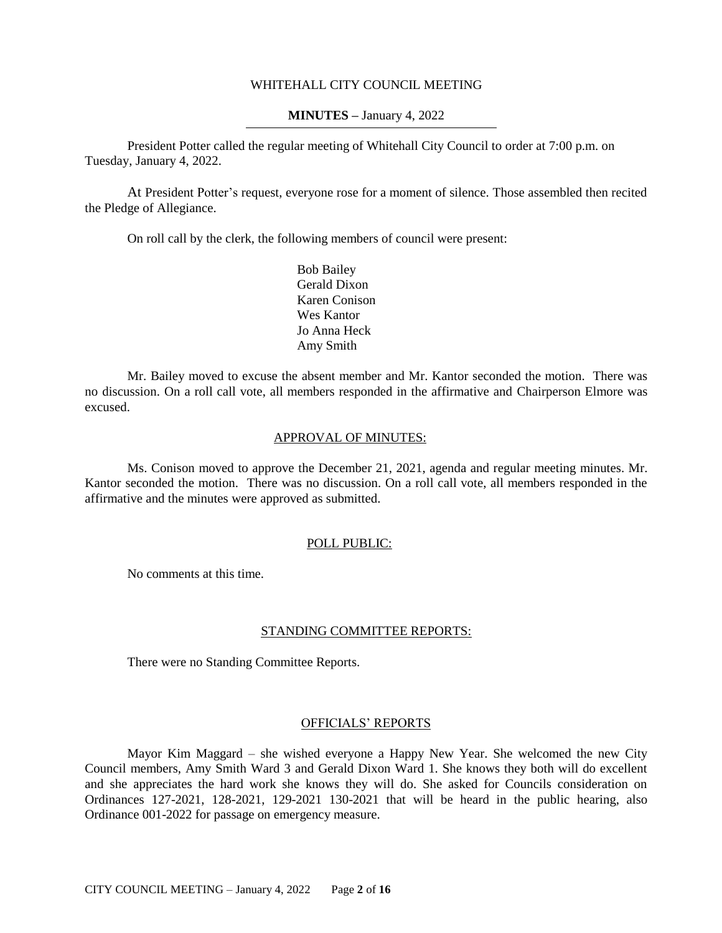### WHITEHALL CITY COUNCIL MEETING

### **MINUTES –** January 4, 2022

President Potter called the regular meeting of Whitehall City Council to order at 7:00 p.m. on Tuesday, January 4, 2022.

At President Potter's request, everyone rose for a moment of silence. Those assembled then recited the Pledge of Allegiance.

On roll call by the clerk, the following members of council were present:

Bob Bailey Gerald Dixon Karen Conison Wes Kantor Jo Anna Heck Amy Smith

Mr. Bailey moved to excuse the absent member and Mr. Kantor seconded the motion. There was no discussion. On a roll call vote, all members responded in the affirmative and Chairperson Elmore was excused.

### APPROVAL OF MINUTES:

Ms. Conison moved to approve the December 21, 2021, agenda and regular meeting minutes. Mr. Kantor seconded the motion. There was no discussion. On a roll call vote, all members responded in the affirmative and the minutes were approved as submitted.

# POLL PUBLIC:

No comments at this time.

# STANDING COMMITTEE REPORTS:

There were no Standing Committee Reports.

# OFFICIALS' REPORTS

Mayor Kim Maggard – she wished everyone a Happy New Year. She welcomed the new City Council members, Amy Smith Ward 3 and Gerald Dixon Ward 1. She knows they both will do excellent and she appreciates the hard work she knows they will do. She asked for Councils consideration on Ordinances 127-2021, 128-2021, 129-2021 130-2021 that will be heard in the public hearing, also Ordinance 001-2022 for passage on emergency measure.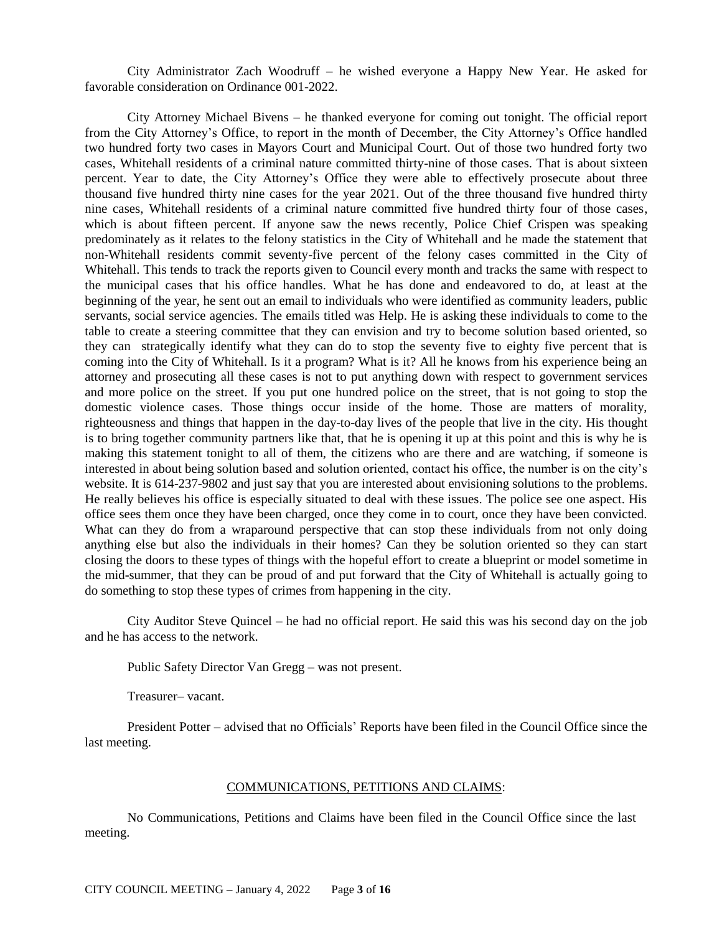City Administrator Zach Woodruff – he wished everyone a Happy New Year. He asked for favorable consideration on Ordinance 001-2022.

City Attorney Michael Bivens – he thanked everyone for coming out tonight. The official report from the City Attorney's Office, to report in the month of December, the City Attorney's Office handled two hundred forty two cases in Mayors Court and Municipal Court. Out of those two hundred forty two cases, Whitehall residents of a criminal nature committed thirty-nine of those cases. That is about sixteen percent. Year to date, the City Attorney's Office they were able to effectively prosecute about three thousand five hundred thirty nine cases for the year 2021. Out of the three thousand five hundred thirty nine cases, Whitehall residents of a criminal nature committed five hundred thirty four of those cases, which is about fifteen percent. If anyone saw the news recently, Police Chief Crispen was speaking predominately as it relates to the felony statistics in the City of Whitehall and he made the statement that non-Whitehall residents commit seventy-five percent of the felony cases committed in the City of Whitehall. This tends to track the reports given to Council every month and tracks the same with respect to the municipal cases that his office handles. What he has done and endeavored to do, at least at the beginning of the year, he sent out an email to individuals who were identified as community leaders, public servants, social service agencies. The emails titled was Help. He is asking these individuals to come to the table to create a steering committee that they can envision and try to become solution based oriented, so they can strategically identify what they can do to stop the seventy five to eighty five percent that is coming into the City of Whitehall. Is it a program? What is it? All he knows from his experience being an attorney and prosecuting all these cases is not to put anything down with respect to government services and more police on the street. If you put one hundred police on the street, that is not going to stop the domestic violence cases. Those things occur inside of the home. Those are matters of morality, righteousness and things that happen in the day-to-day lives of the people that live in the city. His thought is to bring together community partners like that, that he is opening it up at this point and this is why he is making this statement tonight to all of them, the citizens who are there and are watching, if someone is interested in about being solution based and solution oriented, contact his office, the number is on the city's website. It is 614-237-9802 and just say that you are interested about envisioning solutions to the problems. He really believes his office is especially situated to deal with these issues. The police see one aspect. His office sees them once they have been charged, once they come in to court, once they have been convicted. What can they do from a wraparound perspective that can stop these individuals from not only doing anything else but also the individuals in their homes? Can they be solution oriented so they can start closing the doors to these types of things with the hopeful effort to create a blueprint or model sometime in the mid-summer, that they can be proud of and put forward that the City of Whitehall is actually going to do something to stop these types of crimes from happening in the city.

City Auditor Steve Quincel – he had no official report. He said this was his second day on the job and he has access to the network.

Public Safety Director Van Gregg – was not present.

Treasurer– vacant.

President Potter – advised that no Officials' Reports have been filed in the Council Office since the last meeting.

# COMMUNICATIONS, PETITIONS AND CLAIMS:

No Communications, Petitions and Claims have been filed in the Council Office since the last meeting.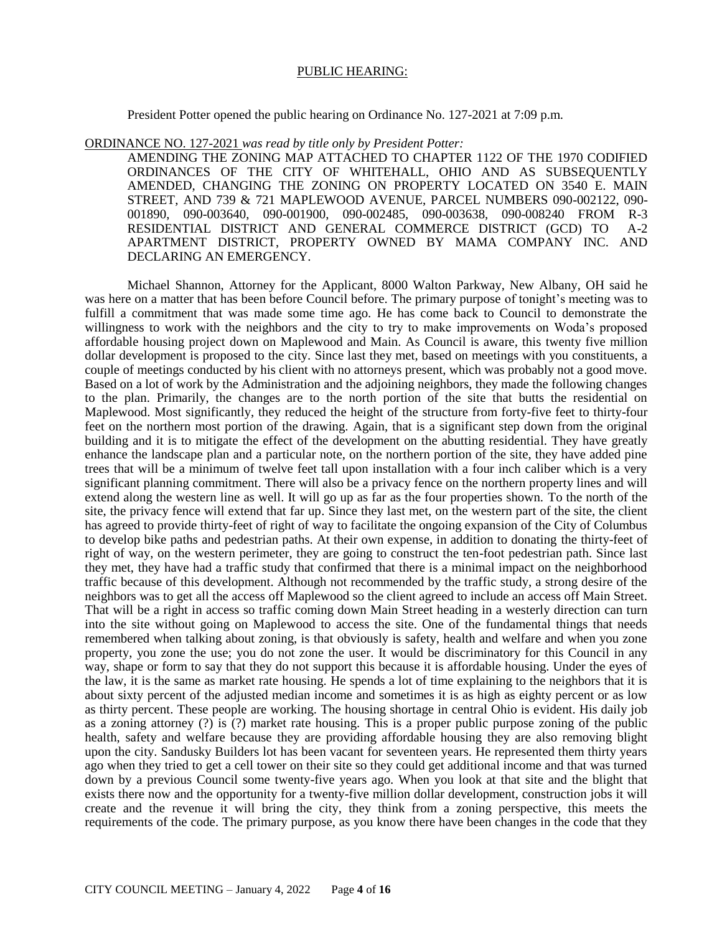### PUBLIC HEARING:

President Potter opened the public hearing on Ordinance No. 127-2021 at 7:09 p.m.

#### ORDINANCE NO. 127-2021 *was read by title only by President Potter:*

AMENDING THE ZONING MAP ATTACHED TO CHAPTER 1122 OF THE 1970 CODIFIED ORDINANCES OF THE CITY OF WHITEHALL, OHIO AND AS SUBSEQUENTLY AMENDED, CHANGING THE ZONING ON PROPERTY LOCATED ON 3540 E. MAIN STREET, AND 739 & 721 MAPLEWOOD AVENUE, PARCEL NUMBERS 090-002122, 090- 001890, 090-003640, 090-001900, 090-002485, 090-003638, 090-008240 FROM R-3 RESIDENTIAL DISTRICT AND GENERAL COMMERCE DISTRICT (GCD) TO A-2 APARTMENT DISTRICT, PROPERTY OWNED BY MAMA COMPANY INC. AND DECLARING AN EMERGENCY.

Michael Shannon, Attorney for the Applicant, 8000 Walton Parkway, New Albany, OH said he was here on a matter that has been before Council before. The primary purpose of tonight's meeting was to fulfill a commitment that was made some time ago. He has come back to Council to demonstrate the willingness to work with the neighbors and the city to try to make improvements on Woda's proposed affordable housing project down on Maplewood and Main. As Council is aware, this twenty five million dollar development is proposed to the city. Since last they met, based on meetings with you constituents, a couple of meetings conducted by his client with no attorneys present, which was probably not a good move. Based on a lot of work by the Administration and the adjoining neighbors, they made the following changes to the plan. Primarily, the changes are to the north portion of the site that butts the residential on Maplewood. Most significantly, they reduced the height of the structure from forty-five feet to thirty-four feet on the northern most portion of the drawing. Again, that is a significant step down from the original building and it is to mitigate the effect of the development on the abutting residential. They have greatly enhance the landscape plan and a particular note, on the northern portion of the site, they have added pine trees that will be a minimum of twelve feet tall upon installation with a four inch caliber which is a very significant planning commitment. There will also be a privacy fence on the northern property lines and will extend along the western line as well. It will go up as far as the four properties shown. To the north of the site, the privacy fence will extend that far up. Since they last met, on the western part of the site, the client has agreed to provide thirty-feet of right of way to facilitate the ongoing expansion of the City of Columbus to develop bike paths and pedestrian paths. At their own expense, in addition to donating the thirty-feet of right of way, on the western perimeter, they are going to construct the ten-foot pedestrian path. Since last they met, they have had a traffic study that confirmed that there is a minimal impact on the neighborhood traffic because of this development. Although not recommended by the traffic study, a strong desire of the neighbors was to get all the access off Maplewood so the client agreed to include an access off Main Street. That will be a right in access so traffic coming down Main Street heading in a westerly direction can turn into the site without going on Maplewood to access the site. One of the fundamental things that needs remembered when talking about zoning, is that obviously is safety, health and welfare and when you zone property, you zone the use; you do not zone the user. It would be discriminatory for this Council in any way, shape or form to say that they do not support this because it is affordable housing. Under the eyes of the law, it is the same as market rate housing. He spends a lot of time explaining to the neighbors that it is about sixty percent of the adjusted median income and sometimes it is as high as eighty percent or as low as thirty percent. These people are working. The housing shortage in central Ohio is evident. His daily job as a zoning attorney (?) is (?) market rate housing. This is a proper public purpose zoning of the public health, safety and welfare because they are providing affordable housing they are also removing blight upon the city. Sandusky Builders lot has been vacant for seventeen years. He represented them thirty years ago when they tried to get a cell tower on their site so they could get additional income and that was turned down by a previous Council some twenty-five years ago. When you look at that site and the blight that exists there now and the opportunity for a twenty-five million dollar development, construction jobs it will create and the revenue it will bring the city, they think from a zoning perspective, this meets the requirements of the code. The primary purpose, as you know there have been changes in the code that they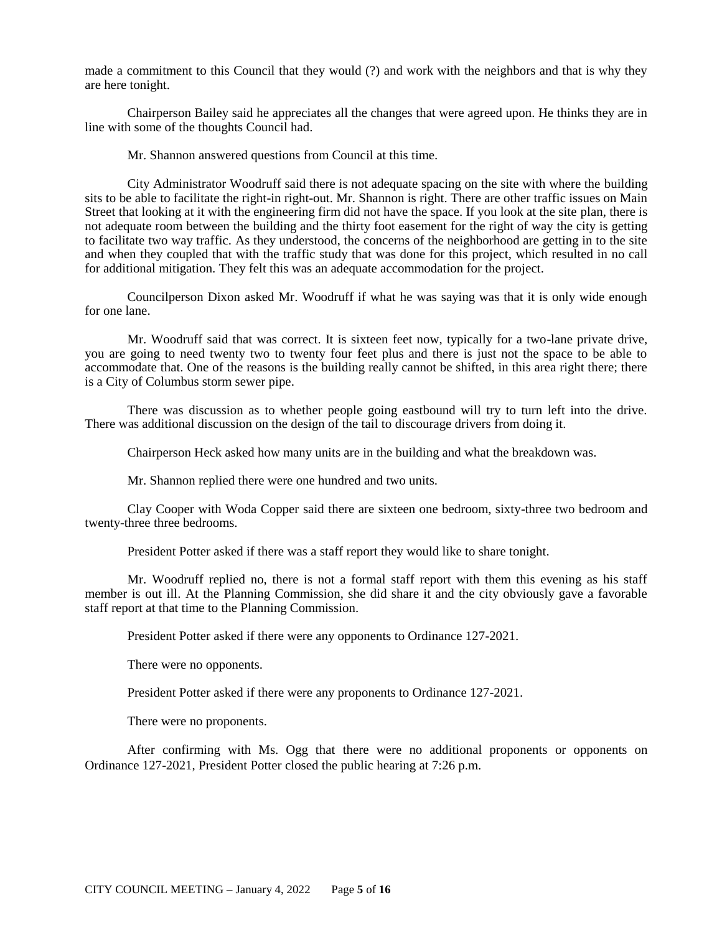made a commitment to this Council that they would (?) and work with the neighbors and that is why they are here tonight.

Chairperson Bailey said he appreciates all the changes that were agreed upon. He thinks they are in line with some of the thoughts Council had.

Mr. Shannon answered questions from Council at this time.

City Administrator Woodruff said there is not adequate spacing on the site with where the building sits to be able to facilitate the right-in right-out. Mr. Shannon is right. There are other traffic issues on Main Street that looking at it with the engineering firm did not have the space. If you look at the site plan, there is not adequate room between the building and the thirty foot easement for the right of way the city is getting to facilitate two way traffic. As they understood, the concerns of the neighborhood are getting in to the site and when they coupled that with the traffic study that was done for this project, which resulted in no call for additional mitigation. They felt this was an adequate accommodation for the project.

Councilperson Dixon asked Mr. Woodruff if what he was saying was that it is only wide enough for one lane.

Mr. Woodruff said that was correct. It is sixteen feet now, typically for a two-lane private drive, you are going to need twenty two to twenty four feet plus and there is just not the space to be able to accommodate that. One of the reasons is the building really cannot be shifted, in this area right there; there is a City of Columbus storm sewer pipe.

There was discussion as to whether people going eastbound will try to turn left into the drive. There was additional discussion on the design of the tail to discourage drivers from doing it.

Chairperson Heck asked how many units are in the building and what the breakdown was.

Mr. Shannon replied there were one hundred and two units.

Clay Cooper with Woda Copper said there are sixteen one bedroom, sixty-three two bedroom and twenty-three three bedrooms.

President Potter asked if there was a staff report they would like to share tonight.

Mr. Woodruff replied no, there is not a formal staff report with them this evening as his staff member is out ill. At the Planning Commission, she did share it and the city obviously gave a favorable staff report at that time to the Planning Commission.

President Potter asked if there were any opponents to Ordinance 127-2021.

There were no opponents.

President Potter asked if there were any proponents to Ordinance 127-2021.

There were no proponents.

After confirming with Ms. Ogg that there were no additional proponents or opponents on Ordinance 127-2021, President Potter closed the public hearing at 7:26 p.m.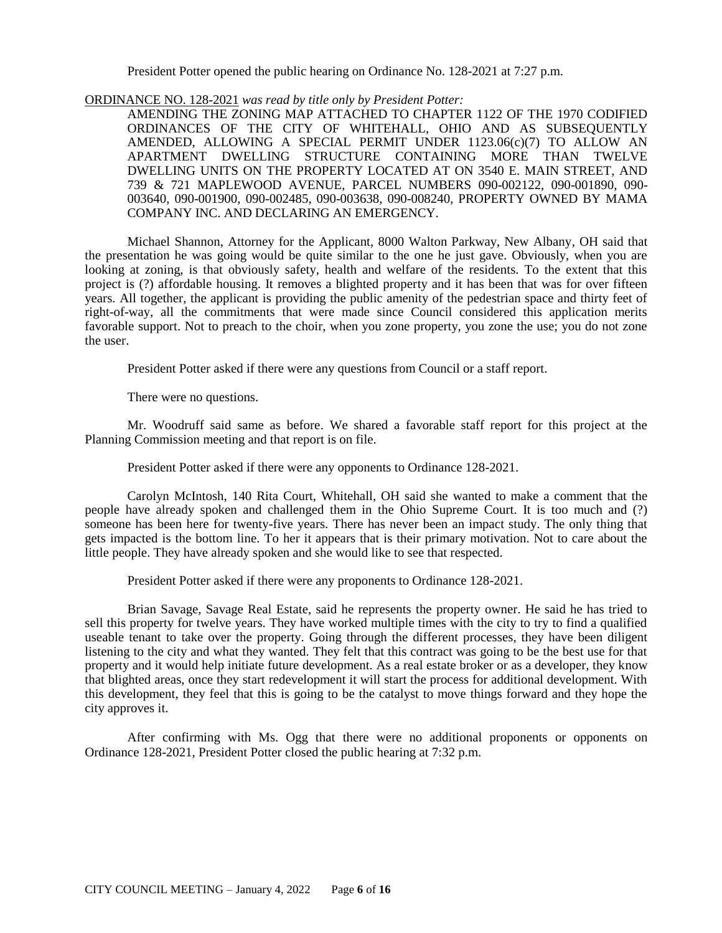President Potter opened the public hearing on Ordinance No. 128-2021 at 7:27 p.m.

ORDINANCE NO. 128-2021 *was read by title only by President Potter:*

AMENDING THE ZONING MAP ATTACHED TO CHAPTER 1122 OF THE 1970 CODIFIED ORDINANCES OF THE CITY OF WHITEHALL, OHIO AND AS SUBSEQUENTLY AMENDED, ALLOWING A SPECIAL PERMIT UNDER 1123.06(c)(7) TO ALLOW AN APARTMENT DWELLING STRUCTURE CONTAINING MORE THAN TWELVE DWELLING UNITS ON THE PROPERTY LOCATED AT ON 3540 E. MAIN STREET, AND 739 & 721 MAPLEWOOD AVENUE, PARCEL NUMBERS 090-002122, 090-001890, 090- 003640, 090-001900, 090-002485, 090-003638, 090-008240, PROPERTY OWNED BY MAMA COMPANY INC. AND DECLARING AN EMERGENCY.

Michael Shannon, Attorney for the Applicant, 8000 Walton Parkway, New Albany, OH said that the presentation he was going would be quite similar to the one he just gave. Obviously, when you are looking at zoning, is that obviously safety, health and welfare of the residents. To the extent that this project is (?) affordable housing. It removes a blighted property and it has been that was for over fifteen years. All together, the applicant is providing the public amenity of the pedestrian space and thirty feet of right-of-way, all the commitments that were made since Council considered this application merits favorable support. Not to preach to the choir, when you zone property, you zone the use; you do not zone the user.

President Potter asked if there were any questions from Council or a staff report.

There were no questions.

Mr. Woodruff said same as before. We shared a favorable staff report for this project at the Planning Commission meeting and that report is on file.

President Potter asked if there were any opponents to Ordinance 128-2021.

Carolyn McIntosh, 140 Rita Court, Whitehall, OH said she wanted to make a comment that the people have already spoken and challenged them in the Ohio Supreme Court. It is too much and (?) someone has been here for twenty-five years. There has never been an impact study. The only thing that gets impacted is the bottom line. To her it appears that is their primary motivation. Not to care about the little people. They have already spoken and she would like to see that respected.

President Potter asked if there were any proponents to Ordinance 128-2021.

Brian Savage, Savage Real Estate, said he represents the property owner. He said he has tried to sell this property for twelve years. They have worked multiple times with the city to try to find a qualified useable tenant to take over the property. Going through the different processes, they have been diligent listening to the city and what they wanted. They felt that this contract was going to be the best use for that property and it would help initiate future development. As a real estate broker or as a developer, they know that blighted areas, once they start redevelopment it will start the process for additional development. With this development, they feel that this is going to be the catalyst to move things forward and they hope the city approves it.

After confirming with Ms. Ogg that there were no additional proponents or opponents on Ordinance 128-2021, President Potter closed the public hearing at 7:32 p.m.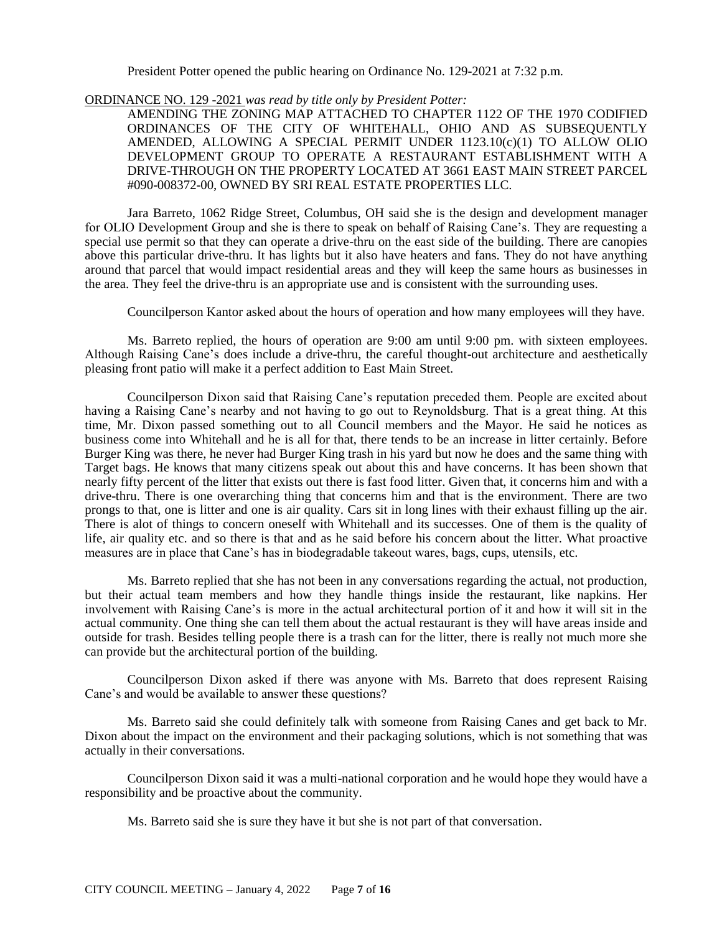President Potter opened the public hearing on Ordinance No. 129-2021 at 7:32 p.m.

ORDINANCE NO. 129 -2021 *was read by title only by President Potter:*

AMENDING THE ZONING MAP ATTACHED TO CHAPTER 1122 OF THE 1970 CODIFIED ORDINANCES OF THE CITY OF WHITEHALL, OHIO AND AS SUBSEQUENTLY AMENDED, ALLOWING A SPECIAL PERMIT UNDER 1123.10(c)(1) TO ALLOW OLIO DEVELOPMENT GROUP TO OPERATE A RESTAURANT ESTABLISHMENT WITH A DRIVE-THROUGH ON THE PROPERTY LOCATED AT 3661 EAST MAIN STREET PARCEL #090-008372-00, OWNED BY SRI REAL ESTATE PROPERTIES LLC.

Jara Barreto, 1062 Ridge Street, Columbus, OH said she is the design and development manager for OLIO Development Group and she is there to speak on behalf of Raising Cane's. They are requesting a special use permit so that they can operate a drive-thru on the east side of the building. There are canopies above this particular drive-thru. It has lights but it also have heaters and fans. They do not have anything around that parcel that would impact residential areas and they will keep the same hours as businesses in the area. They feel the drive-thru is an appropriate use and is consistent with the surrounding uses.

Councilperson Kantor asked about the hours of operation and how many employees will they have.

Ms. Barreto replied, the hours of operation are 9:00 am until 9:00 pm. with sixteen employees. Although Raising Cane's does include a drive-thru, the careful thought-out architecture and aesthetically pleasing front patio will make it a perfect addition to East Main Street.

Councilperson Dixon said that Raising Cane's reputation preceded them. People are excited about having a Raising Cane's nearby and not having to go out to Reynoldsburg. That is a great thing. At this time, Mr. Dixon passed something out to all Council members and the Mayor. He said he notices as business come into Whitehall and he is all for that, there tends to be an increase in litter certainly. Before Burger King was there, he never had Burger King trash in his yard but now he does and the same thing with Target bags. He knows that many citizens speak out about this and have concerns. It has been shown that nearly fifty percent of the litter that exists out there is fast food litter. Given that, it concerns him and with a drive-thru. There is one overarching thing that concerns him and that is the environment. There are two prongs to that, one is litter and one is air quality. Cars sit in long lines with their exhaust filling up the air. There is alot of things to concern oneself with Whitehall and its successes. One of them is the quality of life, air quality etc. and so there is that and as he said before his concern about the litter. What proactive measures are in place that Cane's has in biodegradable takeout wares, bags, cups, utensils, etc.

Ms. Barreto replied that she has not been in any conversations regarding the actual, not production, but their actual team members and how they handle things inside the restaurant, like napkins. Her involvement with Raising Cane's is more in the actual architectural portion of it and how it will sit in the actual community. One thing she can tell them about the actual restaurant is they will have areas inside and outside for trash. Besides telling people there is a trash can for the litter, there is really not much more she can provide but the architectural portion of the building.

Councilperson Dixon asked if there was anyone with Ms. Barreto that does represent Raising Cane's and would be available to answer these questions?

Ms. Barreto said she could definitely talk with someone from Raising Canes and get back to Mr. Dixon about the impact on the environment and their packaging solutions, which is not something that was actually in their conversations.

Councilperson Dixon said it was a multi-national corporation and he would hope they would have a responsibility and be proactive about the community.

Ms. Barreto said she is sure they have it but she is not part of that conversation.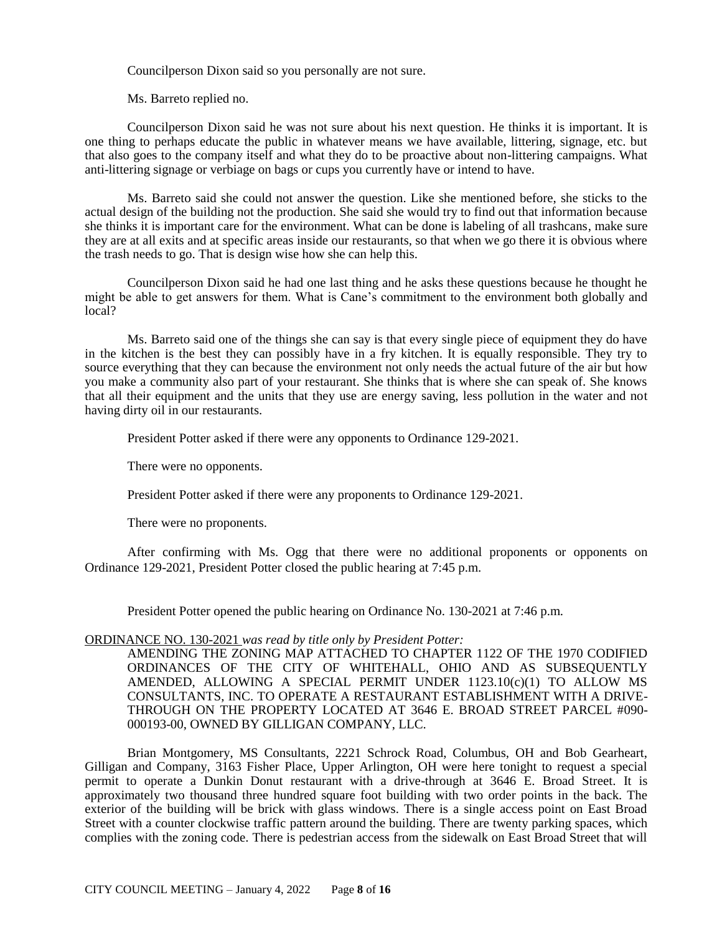Councilperson Dixon said so you personally are not sure.

Ms. Barreto replied no.

Councilperson Dixon said he was not sure about his next question. He thinks it is important. It is one thing to perhaps educate the public in whatever means we have available, littering, signage, etc. but that also goes to the company itself and what they do to be proactive about non-littering campaigns. What anti-littering signage or verbiage on bags or cups you currently have or intend to have.

Ms. Barreto said she could not answer the question. Like she mentioned before, she sticks to the actual design of the building not the production. She said she would try to find out that information because she thinks it is important care for the environment. What can be done is labeling of all trashcans, make sure they are at all exits and at specific areas inside our restaurants, so that when we go there it is obvious where the trash needs to go. That is design wise how she can help this.

Councilperson Dixon said he had one last thing and he asks these questions because he thought he might be able to get answers for them. What is Cane's commitment to the environment both globally and local?

Ms. Barreto said one of the things she can say is that every single piece of equipment they do have in the kitchen is the best they can possibly have in a fry kitchen. It is equally responsible. They try to source everything that they can because the environment not only needs the actual future of the air but how you make a community also part of your restaurant. She thinks that is where she can speak of. She knows that all their equipment and the units that they use are energy saving, less pollution in the water and not having dirty oil in our restaurants.

President Potter asked if there were any opponents to Ordinance 129-2021.

There were no opponents.

President Potter asked if there were any proponents to Ordinance 129-2021.

There were no proponents.

After confirming with Ms. Ogg that there were no additional proponents or opponents on Ordinance 129-2021, President Potter closed the public hearing at 7:45 p.m.

President Potter opened the public hearing on Ordinance No. 130-2021 at 7:46 p.m.

### ORDINANCE NO. 130-2021 *was read by title only by President Potter:*

AMENDING THE ZONING MAP ATTACHED TO CHAPTER 1122 OF THE 1970 CODIFIED ORDINANCES OF THE CITY OF WHITEHALL, OHIO AND AS SUBSEQUENTLY AMENDED, ALLOWING A SPECIAL PERMIT UNDER  $1123.10(c)(1)$  TO ALLOW MS CONSULTANTS, INC. TO OPERATE A RESTAURANT ESTABLISHMENT WITH A DRIVE-THROUGH ON THE PROPERTY LOCATED AT 3646 E. BROAD STREET PARCEL #090- 000193-00, OWNED BY GILLIGAN COMPANY, LLC.

Brian Montgomery, MS Consultants, 2221 Schrock Road, Columbus, OH and Bob Gearheart, Gilligan and Company, 3163 Fisher Place, Upper Arlington, OH were here tonight to request a special permit to operate a Dunkin Donut restaurant with a drive-through at 3646 E. Broad Street. It is approximately two thousand three hundred square foot building with two order points in the back. The exterior of the building will be brick with glass windows. There is a single access point on East Broad Street with a counter clockwise traffic pattern around the building. There are twenty parking spaces, which complies with the zoning code. There is pedestrian access from the sidewalk on East Broad Street that will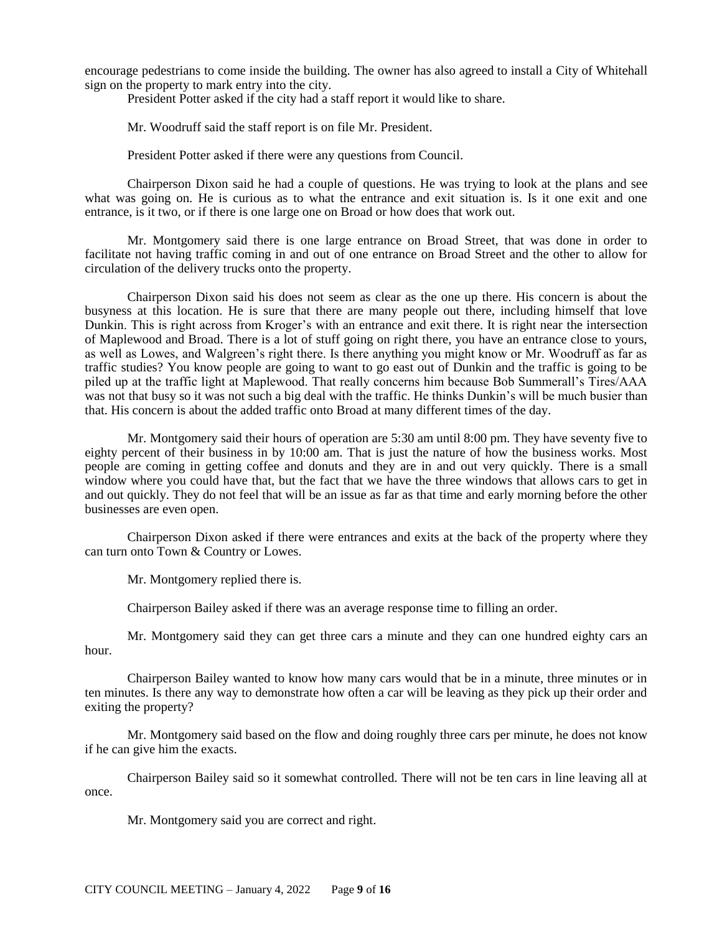encourage pedestrians to come inside the building. The owner has also agreed to install a City of Whitehall sign on the property to mark entry into the city.

President Potter asked if the city had a staff report it would like to share.

Mr. Woodruff said the staff report is on file Mr. President.

President Potter asked if there were any questions from Council.

Chairperson Dixon said he had a couple of questions. He was trying to look at the plans and see what was going on. He is curious as to what the entrance and exit situation is. Is it one exit and one entrance, is it two, or if there is one large one on Broad or how does that work out.

Mr. Montgomery said there is one large entrance on Broad Street, that was done in order to facilitate not having traffic coming in and out of one entrance on Broad Street and the other to allow for circulation of the delivery trucks onto the property.

Chairperson Dixon said his does not seem as clear as the one up there. His concern is about the busyness at this location. He is sure that there are many people out there, including himself that love Dunkin. This is right across from Kroger's with an entrance and exit there. It is right near the intersection of Maplewood and Broad. There is a lot of stuff going on right there, you have an entrance close to yours, as well as Lowes, and Walgreen's right there. Is there anything you might know or Mr. Woodruff as far as traffic studies? You know people are going to want to go east out of Dunkin and the traffic is going to be piled up at the traffic light at Maplewood. That really concerns him because Bob Summerall's Tires/AAA was not that busy so it was not such a big deal with the traffic. He thinks Dunkin's will be much busier than that. His concern is about the added traffic onto Broad at many different times of the day.

Mr. Montgomery said their hours of operation are 5:30 am until 8:00 pm. They have seventy five to eighty percent of their business in by 10:00 am. That is just the nature of how the business works. Most people are coming in getting coffee and donuts and they are in and out very quickly. There is a small window where you could have that, but the fact that we have the three windows that allows cars to get in and out quickly. They do not feel that will be an issue as far as that time and early morning before the other businesses are even open.

Chairperson Dixon asked if there were entrances and exits at the back of the property where they can turn onto Town & Country or Lowes.

Mr. Montgomery replied there is.

Chairperson Bailey asked if there was an average response time to filling an order.

Mr. Montgomery said they can get three cars a minute and they can one hundred eighty cars an hour.

Chairperson Bailey wanted to know how many cars would that be in a minute, three minutes or in ten minutes. Is there any way to demonstrate how often a car will be leaving as they pick up their order and exiting the property?

Mr. Montgomery said based on the flow and doing roughly three cars per minute, he does not know if he can give him the exacts.

Chairperson Bailey said so it somewhat controlled. There will not be ten cars in line leaving all at once.

Mr. Montgomery said you are correct and right.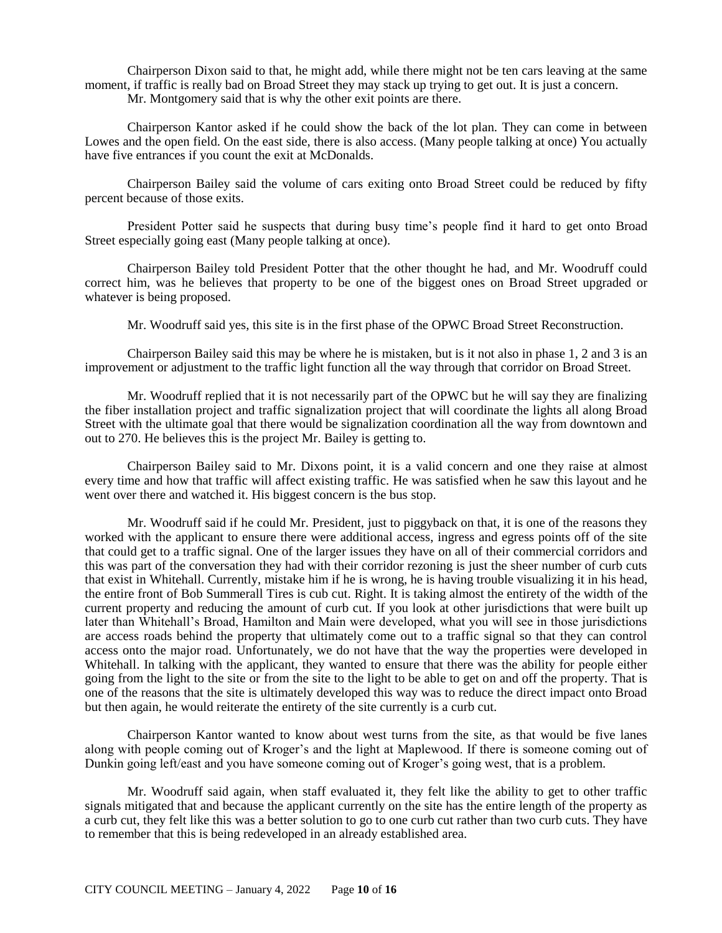Chairperson Dixon said to that, he might add, while there might not be ten cars leaving at the same moment, if traffic is really bad on Broad Street they may stack up trying to get out. It is just a concern. Mr. Montgomery said that is why the other exit points are there.

Chairperson Kantor asked if he could show the back of the lot plan. They can come in between Lowes and the open field. On the east side, there is also access. (Many people talking at once) You actually have five entrances if you count the exit at McDonalds.

Chairperson Bailey said the volume of cars exiting onto Broad Street could be reduced by fifty percent because of those exits.

President Potter said he suspects that during busy time's people find it hard to get onto Broad Street especially going east (Many people talking at once).

Chairperson Bailey told President Potter that the other thought he had, and Mr. Woodruff could correct him, was he believes that property to be one of the biggest ones on Broad Street upgraded or whatever is being proposed.

Mr. Woodruff said yes, this site is in the first phase of the OPWC Broad Street Reconstruction.

Chairperson Bailey said this may be where he is mistaken, but is it not also in phase 1, 2 and 3 is an improvement or adjustment to the traffic light function all the way through that corridor on Broad Street.

Mr. Woodruff replied that it is not necessarily part of the OPWC but he will say they are finalizing the fiber installation project and traffic signalization project that will coordinate the lights all along Broad Street with the ultimate goal that there would be signalization coordination all the way from downtown and out to 270. He believes this is the project Mr. Bailey is getting to.

Chairperson Bailey said to Mr. Dixons point, it is a valid concern and one they raise at almost every time and how that traffic will affect existing traffic. He was satisfied when he saw this layout and he went over there and watched it. His biggest concern is the bus stop.

Mr. Woodruff said if he could Mr. President, just to piggyback on that, it is one of the reasons they worked with the applicant to ensure there were additional access, ingress and egress points off of the site that could get to a traffic signal. One of the larger issues they have on all of their commercial corridors and this was part of the conversation they had with their corridor rezoning is just the sheer number of curb cuts that exist in Whitehall. Currently, mistake him if he is wrong, he is having trouble visualizing it in his head, the entire front of Bob Summerall Tires is cub cut. Right. It is taking almost the entirety of the width of the current property and reducing the amount of curb cut. If you look at other jurisdictions that were built up later than Whitehall's Broad, Hamilton and Main were developed, what you will see in those jurisdictions are access roads behind the property that ultimately come out to a traffic signal so that they can control access onto the major road. Unfortunately, we do not have that the way the properties were developed in Whitehall. In talking with the applicant, they wanted to ensure that there was the ability for people either going from the light to the site or from the site to the light to be able to get on and off the property. That is one of the reasons that the site is ultimately developed this way was to reduce the direct impact onto Broad but then again, he would reiterate the entirety of the site currently is a curb cut.

Chairperson Kantor wanted to know about west turns from the site, as that would be five lanes along with people coming out of Kroger's and the light at Maplewood. If there is someone coming out of Dunkin going left/east and you have someone coming out of Kroger's going west, that is a problem.

Mr. Woodruff said again, when staff evaluated it, they felt like the ability to get to other traffic signals mitigated that and because the applicant currently on the site has the entire length of the property as a curb cut, they felt like this was a better solution to go to one curb cut rather than two curb cuts. They have to remember that this is being redeveloped in an already established area.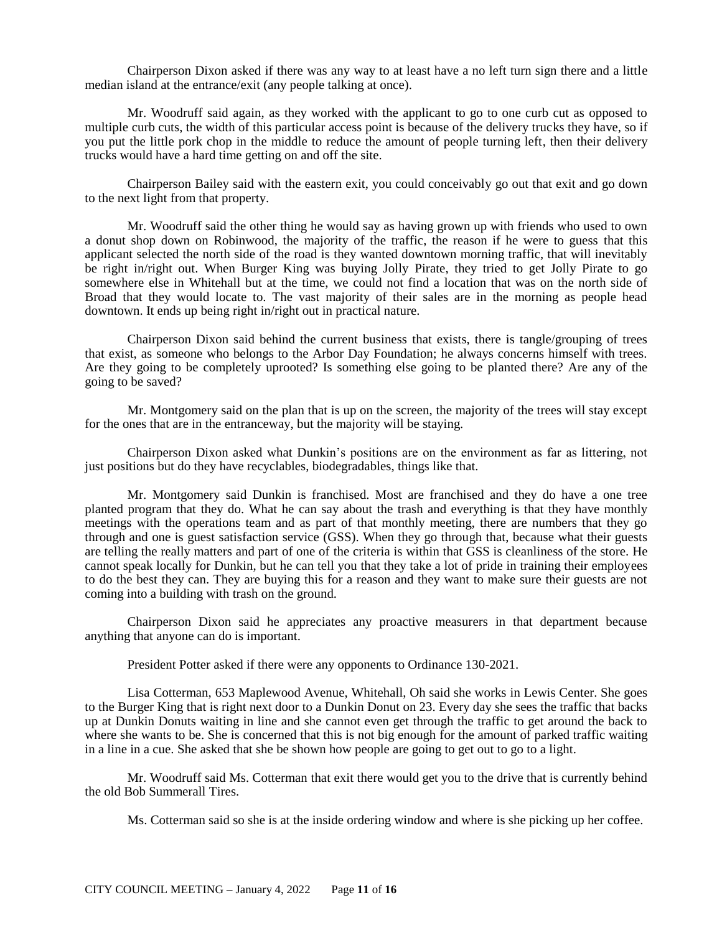Chairperson Dixon asked if there was any way to at least have a no left turn sign there and a little median island at the entrance/exit (any people talking at once).

Mr. Woodruff said again, as they worked with the applicant to go to one curb cut as opposed to multiple curb cuts, the width of this particular access point is because of the delivery trucks they have, so if you put the little pork chop in the middle to reduce the amount of people turning left, then their delivery trucks would have a hard time getting on and off the site.

Chairperson Bailey said with the eastern exit, you could conceivably go out that exit and go down to the next light from that property.

Mr. Woodruff said the other thing he would say as having grown up with friends who used to own a donut shop down on Robinwood, the majority of the traffic, the reason if he were to guess that this applicant selected the north side of the road is they wanted downtown morning traffic, that will inevitably be right in/right out. When Burger King was buying Jolly Pirate, they tried to get Jolly Pirate to go somewhere else in Whitehall but at the time, we could not find a location that was on the north side of Broad that they would locate to. The vast majority of their sales are in the morning as people head downtown. It ends up being right in/right out in practical nature.

Chairperson Dixon said behind the current business that exists, there is tangle/grouping of trees that exist, as someone who belongs to the Arbor Day Foundation; he always concerns himself with trees. Are they going to be completely uprooted? Is something else going to be planted there? Are any of the going to be saved?

Mr. Montgomery said on the plan that is up on the screen, the majority of the trees will stay except for the ones that are in the entranceway, but the majority will be staying.

Chairperson Dixon asked what Dunkin's positions are on the environment as far as littering, not just positions but do they have recyclables, biodegradables, things like that.

Mr. Montgomery said Dunkin is franchised. Most are franchised and they do have a one tree planted program that they do. What he can say about the trash and everything is that they have monthly meetings with the operations team and as part of that monthly meeting, there are numbers that they go through and one is guest satisfaction service (GSS). When they go through that, because what their guests are telling the really matters and part of one of the criteria is within that GSS is cleanliness of the store. He cannot speak locally for Dunkin, but he can tell you that they take a lot of pride in training their employees to do the best they can. They are buying this for a reason and they want to make sure their guests are not coming into a building with trash on the ground.

Chairperson Dixon said he appreciates any proactive measurers in that department because anything that anyone can do is important.

President Potter asked if there were any opponents to Ordinance 130-2021.

Lisa Cotterman, 653 Maplewood Avenue, Whitehall, Oh said she works in Lewis Center. She goes to the Burger King that is right next door to a Dunkin Donut on 23. Every day she sees the traffic that backs up at Dunkin Donuts waiting in line and she cannot even get through the traffic to get around the back to where she wants to be. She is concerned that this is not big enough for the amount of parked traffic waiting in a line in a cue. She asked that she be shown how people are going to get out to go to a light.

Mr. Woodruff said Ms. Cotterman that exit there would get you to the drive that is currently behind the old Bob Summerall Tires.

Ms. Cotterman said so she is at the inside ordering window and where is she picking up her coffee.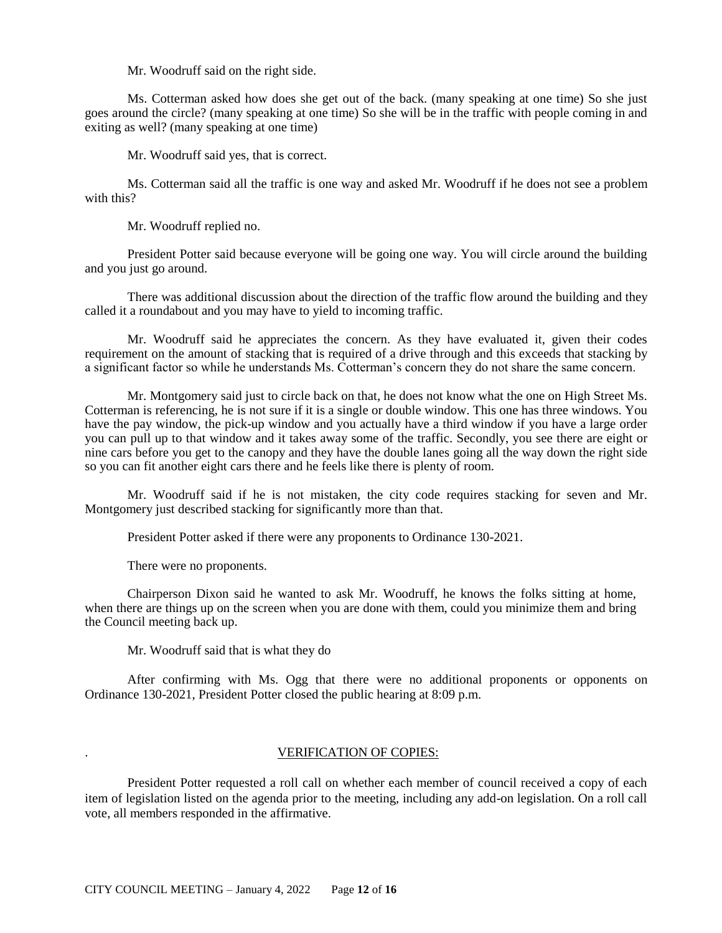Mr. Woodruff said on the right side.

Ms. Cotterman asked how does she get out of the back. (many speaking at one time) So she just goes around the circle? (many speaking at one time) So she will be in the traffic with people coming in and exiting as well? (many speaking at one time)

Mr. Woodruff said yes, that is correct.

Ms. Cotterman said all the traffic is one way and asked Mr. Woodruff if he does not see a problem with this?

Mr. Woodruff replied no.

President Potter said because everyone will be going one way. You will circle around the building and you just go around.

There was additional discussion about the direction of the traffic flow around the building and they called it a roundabout and you may have to yield to incoming traffic.

Mr. Woodruff said he appreciates the concern. As they have evaluated it, given their codes requirement on the amount of stacking that is required of a drive through and this exceeds that stacking by a significant factor so while he understands Ms. Cotterman's concern they do not share the same concern.

Mr. Montgomery said just to circle back on that, he does not know what the one on High Street Ms. Cotterman is referencing, he is not sure if it is a single or double window. This one has three windows. You have the pay window, the pick-up window and you actually have a third window if you have a large order you can pull up to that window and it takes away some of the traffic. Secondly, you see there are eight or nine cars before you get to the canopy and they have the double lanes going all the way down the right side so you can fit another eight cars there and he feels like there is plenty of room.

Mr. Woodruff said if he is not mistaken, the city code requires stacking for seven and Mr. Montgomery just described stacking for significantly more than that.

President Potter asked if there were any proponents to Ordinance 130-2021.

There were no proponents.

Chairperson Dixon said he wanted to ask Mr. Woodruff, he knows the folks sitting at home, when there are things up on the screen when you are done with them, could you minimize them and bring the Council meeting back up.

Mr. Woodruff said that is what they do

After confirming with Ms. Ogg that there were no additional proponents or opponents on Ordinance 130-2021, President Potter closed the public hearing at 8:09 p.m.

# . VERIFICATION OF COPIES:

President Potter requested a roll call on whether each member of council received a copy of each item of legislation listed on the agenda prior to the meeting, including any add-on legislation. On a roll call vote, all members responded in the affirmative.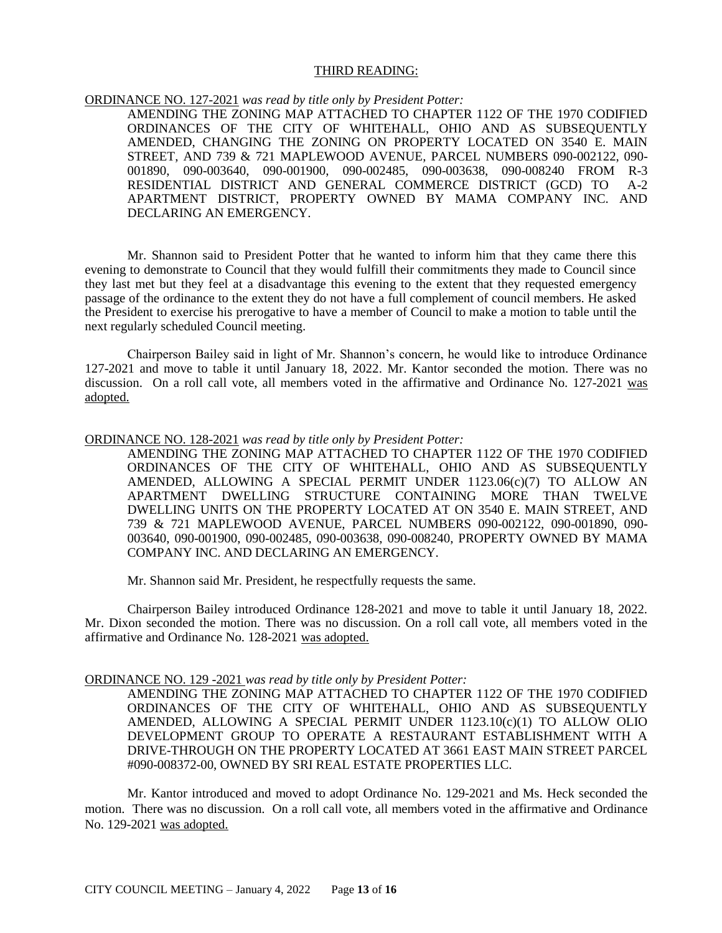### THIRD READING:

ORDINANCE NO. 127-2021 *was read by title only by President Potter:*

AMENDING THE ZONING MAP ATTACHED TO CHAPTER 1122 OF THE 1970 CODIFIED ORDINANCES OF THE CITY OF WHITEHALL, OHIO AND AS SUBSEQUENTLY AMENDED, CHANGING THE ZONING ON PROPERTY LOCATED ON 3540 E. MAIN STREET, AND 739 & 721 MAPLEWOOD AVENUE, PARCEL NUMBERS 090-002122, 090- 001890, 090-003640, 090-001900, 090-002485, 090-003638, 090-008240 FROM R-3 RESIDENTIAL DISTRICT AND GENERAL COMMERCE DISTRICT (GCD) TO A-2 APARTMENT DISTRICT, PROPERTY OWNED BY MAMA COMPANY INC. AND DECLARING AN EMERGENCY.

Mr. Shannon said to President Potter that he wanted to inform him that they came there this evening to demonstrate to Council that they would fulfill their commitments they made to Council since they last met but they feel at a disadvantage this evening to the extent that they requested emergency passage of the ordinance to the extent they do not have a full complement of council members. He asked the President to exercise his prerogative to have a member of Council to make a motion to table until the next regularly scheduled Council meeting.

Chairperson Bailey said in light of Mr. Shannon's concern, he would like to introduce Ordinance 127-2021 and move to table it until January 18, 2022. Mr. Kantor seconded the motion. There was no discussion. On a roll call vote, all members voted in the affirmative and Ordinance No. 127-2021 was adopted.

### ORDINANCE NO. 128-2021 *was read by title only by President Potter:*

AMENDING THE ZONING MAP ATTACHED TO CHAPTER 1122 OF THE 1970 CODIFIED ORDINANCES OF THE CITY OF WHITEHALL, OHIO AND AS SUBSEQUENTLY AMENDED, ALLOWING A SPECIAL PERMIT UNDER 1123.06(c)(7) TO ALLOW AN APARTMENT DWELLING STRUCTURE CONTAINING MORE THAN TWELVE DWELLING UNITS ON THE PROPERTY LOCATED AT ON 3540 E. MAIN STREET, AND 739 & 721 MAPLEWOOD AVENUE, PARCEL NUMBERS 090-002122, 090-001890, 090- 003640, 090-001900, 090-002485, 090-003638, 090-008240, PROPERTY OWNED BY MAMA COMPANY INC. AND DECLARING AN EMERGENCY.

Mr. Shannon said Mr. President, he respectfully requests the same.

Chairperson Bailey introduced Ordinance 128-2021 and move to table it until January 18, 2022. Mr. Dixon seconded the motion. There was no discussion. On a roll call vote, all members voted in the affirmative and Ordinance No. 128-2021 was adopted.

### ORDINANCE NO. 129 -2021 *was read by title only by President Potter:*

AMENDING THE ZONING MAP ATTACHED TO CHAPTER 1122 OF THE 1970 CODIFIED ORDINANCES OF THE CITY OF WHITEHALL, OHIO AND AS SUBSEQUENTLY AMENDED, ALLOWING A SPECIAL PERMIT UNDER 1123.10(c)(1) TO ALLOW OLIO DEVELOPMENT GROUP TO OPERATE A RESTAURANT ESTABLISHMENT WITH A DRIVE-THROUGH ON THE PROPERTY LOCATED AT 3661 EAST MAIN STREET PARCEL #090-008372-00, OWNED BY SRI REAL ESTATE PROPERTIES LLC.

Mr. Kantor introduced and moved to adopt Ordinance No. 129-2021 and Ms. Heck seconded the motion. There was no discussion. On a roll call vote, all members voted in the affirmative and Ordinance No. 129-2021 was adopted.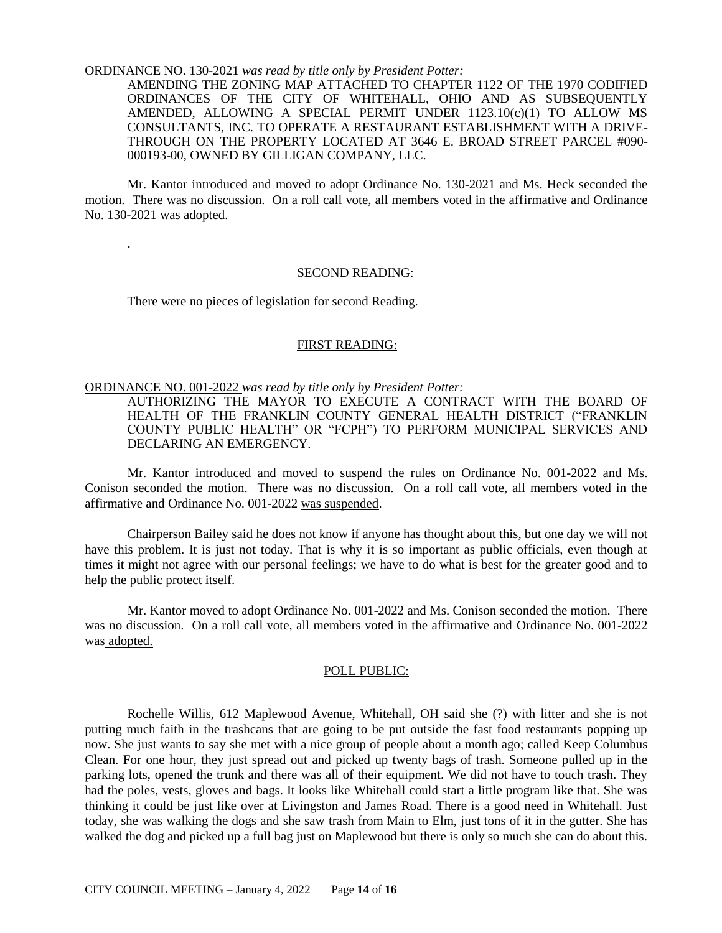#### ORDINANCE NO. 130-2021 *was read by title only by President Potter:*

AMENDING THE ZONING MAP ATTACHED TO CHAPTER 1122 OF THE 1970 CODIFIED ORDINANCES OF THE CITY OF WHITEHALL, OHIO AND AS SUBSEQUENTLY AMENDED, ALLOWING A SPECIAL PERMIT UNDER  $1123.10(c)(1)$  TO ALLOW MS CONSULTANTS, INC. TO OPERATE A RESTAURANT ESTABLISHMENT WITH A DRIVE-THROUGH ON THE PROPERTY LOCATED AT 3646 E. BROAD STREET PARCEL #090- 000193-00, OWNED BY GILLIGAN COMPANY, LLC.

Mr. Kantor introduced and moved to adopt Ordinance No. 130-2021 and Ms. Heck seconded the motion. There was no discussion. On a roll call vote, all members voted in the affirmative and Ordinance No. 130-2021 was adopted.

#### SECOND READING:

There were no pieces of legislation for second Reading.

.

### FIRST READING:

### ORDINANCE NO. 001-2022 *was read by title only by President Potter:*

AUTHORIZING THE MAYOR TO EXECUTE A CONTRACT WITH THE BOARD OF HEALTH OF THE FRANKLIN COUNTY GENERAL HEALTH DISTRICT ("FRANKLIN COUNTY PUBLIC HEALTH" OR "FCPH") TO PERFORM MUNICIPAL SERVICES AND DECLARING AN EMERGENCY.

Mr. Kantor introduced and moved to suspend the rules on Ordinance No. 001-2022 and Ms. Conison seconded the motion. There was no discussion. On a roll call vote, all members voted in the affirmative and Ordinance No. 001-2022 was suspended.

Chairperson Bailey said he does not know if anyone has thought about this, but one day we will not have this problem. It is just not today. That is why it is so important as public officials, even though at times it might not agree with our personal feelings; we have to do what is best for the greater good and to help the public protect itself.

Mr. Kantor moved to adopt Ordinance No. 001-2022 and Ms. Conison seconded the motion. There was no discussion. On a roll call vote, all members voted in the affirmative and Ordinance No. 001-2022 was adopted.

# POLL PUBLIC:

Rochelle Willis, 612 Maplewood Avenue, Whitehall, OH said she (?) with litter and she is not putting much faith in the trashcans that are going to be put outside the fast food restaurants popping up now. She just wants to say she met with a nice group of people about a month ago; called Keep Columbus Clean. For one hour, they just spread out and picked up twenty bags of trash. Someone pulled up in the parking lots, opened the trunk and there was all of their equipment. We did not have to touch trash. They had the poles, vests, gloves and bags. It looks like Whitehall could start a little program like that. She was thinking it could be just like over at Livingston and James Road. There is a good need in Whitehall. Just today, she was walking the dogs and she saw trash from Main to Elm, just tons of it in the gutter. She has walked the dog and picked up a full bag just on Maplewood but there is only so much she can do about this.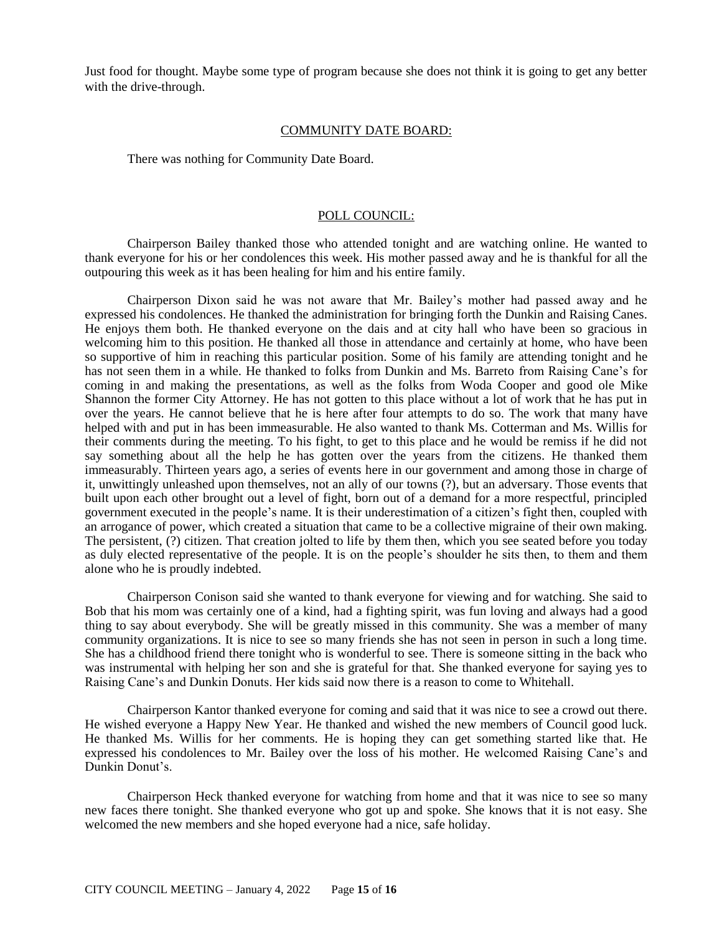Just food for thought. Maybe some type of program because she does not think it is going to get any better with the drive-through.

### COMMUNITY DATE BOARD:

There was nothing for Community Date Board.

### POLL COUNCIL:

Chairperson Bailey thanked those who attended tonight and are watching online. He wanted to thank everyone for his or her condolences this week. His mother passed away and he is thankful for all the outpouring this week as it has been healing for him and his entire family.

Chairperson Dixon said he was not aware that Mr. Bailey's mother had passed away and he expressed his condolences. He thanked the administration for bringing forth the Dunkin and Raising Canes. He enjoys them both. He thanked everyone on the dais and at city hall who have been so gracious in welcoming him to this position. He thanked all those in attendance and certainly at home, who have been so supportive of him in reaching this particular position. Some of his family are attending tonight and he has not seen them in a while. He thanked to folks from Dunkin and Ms. Barreto from Raising Cane's for coming in and making the presentations, as well as the folks from Woda Cooper and good ole Mike Shannon the former City Attorney. He has not gotten to this place without a lot of work that he has put in over the years. He cannot believe that he is here after four attempts to do so. The work that many have helped with and put in has been immeasurable. He also wanted to thank Ms. Cotterman and Ms. Willis for their comments during the meeting. To his fight, to get to this place and he would be remiss if he did not say something about all the help he has gotten over the years from the citizens. He thanked them immeasurably. Thirteen years ago, a series of events here in our government and among those in charge of it, unwittingly unleashed upon themselves, not an ally of our towns (?), but an adversary. Those events that built upon each other brought out a level of fight, born out of a demand for a more respectful, principled government executed in the people's name. It is their underestimation of a citizen's fight then, coupled with an arrogance of power, which created a situation that came to be a collective migraine of their own making. The persistent, (?) citizen. That creation jolted to life by them then, which you see seated before you today as duly elected representative of the people. It is on the people's shoulder he sits then, to them and them alone who he is proudly indebted.

Chairperson Conison said she wanted to thank everyone for viewing and for watching. She said to Bob that his mom was certainly one of a kind, had a fighting spirit, was fun loving and always had a good thing to say about everybody. She will be greatly missed in this community. She was a member of many community organizations. It is nice to see so many friends she has not seen in person in such a long time. She has a childhood friend there tonight who is wonderful to see. There is someone sitting in the back who was instrumental with helping her son and she is grateful for that. She thanked everyone for saying yes to Raising Cane's and Dunkin Donuts. Her kids said now there is a reason to come to Whitehall.

Chairperson Kantor thanked everyone for coming and said that it was nice to see a crowd out there. He wished everyone a Happy New Year. He thanked and wished the new members of Council good luck. He thanked Ms. Willis for her comments. He is hoping they can get something started like that. He expressed his condolences to Mr. Bailey over the loss of his mother. He welcomed Raising Cane's and Dunkin Donut's.

Chairperson Heck thanked everyone for watching from home and that it was nice to see so many new faces there tonight. She thanked everyone who got up and spoke. She knows that it is not easy. She welcomed the new members and she hoped everyone had a nice, safe holiday.